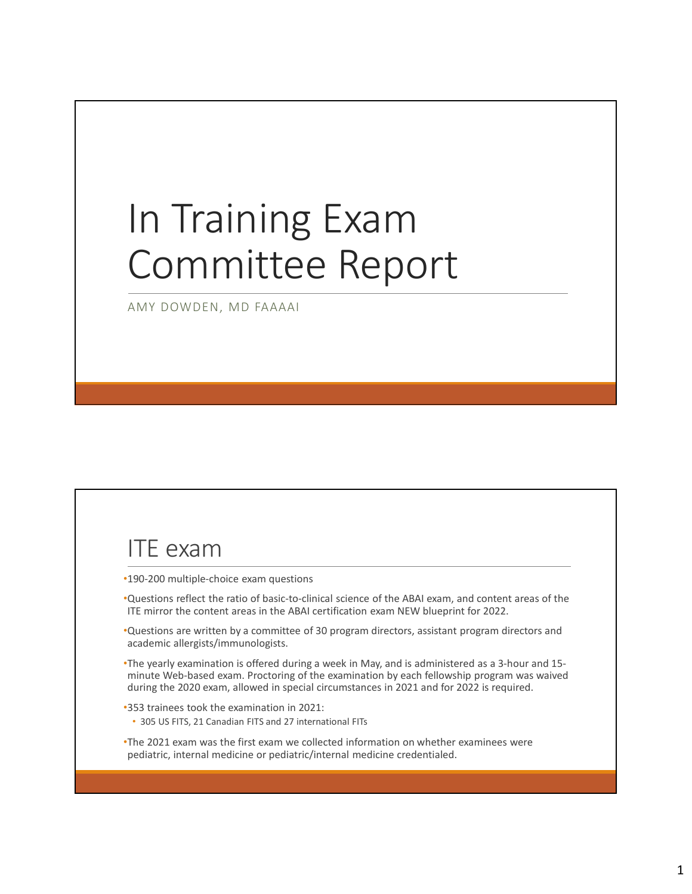#### In Training Exam Committee Report

AMY DOWDEN, MD FAAAAI

#### ITE exam

- •190-200 multiple-choice exam questions
- •Questions reflect the ratio of basic-to-clinical science of the ABAI exam, and content areas of the ITE mirror the content areas in the ABAI certification exam NEW blueprint for 2022.
- •Questions are written by a committee of 30 program directors, assistant program directors and academic allergists/immunologists.
- •The yearly examination is offered during a week in May, and is administered as a 3-hour and 15 minute Web-based exam. Proctoring of the examination by each fellowship program was waived during the 2020 exam, allowed in special circumstances in 2021 and for 2022 is required.
- •353 trainees took the examination in 2021:
- 305 US FITS, 21 Canadian FITS and 27 international FITs
- •The 2021 exam was the first exam we collected information on whether examinees were pediatric, internal medicine or pediatric/internal medicine credentialed.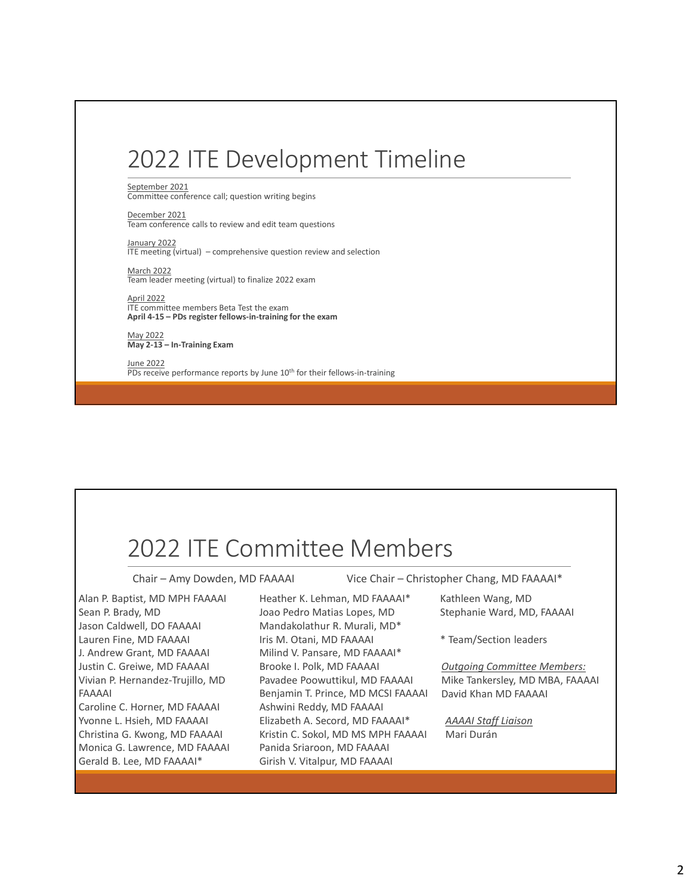### 2022 ITE Development Timeline 2022 ITE Development Timeline<br>
September 2021<br>Committee conference call; question writing begins<br>
December 2021<br>
Team conference calls to review and edit team questions<br>
<u>January 2022</u><br>
Marril 2022<br>
Team leader meeting (vi 2022 ITE Development Timeline<br>
September 2021<br>Committee conference call; question writing begins<br>
Described 2021<br>
Described 2021<br>
Described 2021<br>
Te meeting (virtual) – comprehensive question review and selection<br>
Mary 202 2022 ITE Development<br>
September 2021<br>
September 2021<br>
Committee conference call; question writing begins<br>
December 2021<br>
December 2022<br>
Internating (virtual) – comprehensive question review and selection<br>
March 2022<br>
The m

September 2021 Committee conference call; question writing begins

December 2021 Team conference calls to review and edit team questions

 $\frac{1}{1}$   $\frac{1}{2}$  2022<br>ITE meeting (virtual) – comprehensive question review and selection

March 2022 Team leader meeting (virtual) to finalize 2022 exam

April 2022 ITE committee members Beta Test the exam<br>April 4-15 - PDs register fellows-in-training for the exam

May 2022<br>May 2-13 - In-Training Exam

June 2022 PDs receive performance reports by June 10th for their fellows-in-training

#### 2022 ITE Committee Members

Alan P. Baptist, MD MPH FAAAAI Sean P. Brady, MD Joao Pedro Matias Lopes, MD Jason Caldwell, DO FAAAAI Lauren Fine, MD FAAAAI J. Andrew Grant, MD FAAAAI Justin C. Greiwe, MD FAAAAI Vivian P. Hernandez-Trujillo, MD FAAAAI Christina G. Kwong, MD FAAAAI Monica G. Lawrence, MD FAAAAI Gerald B. Lee, MD FAAAAI\*

 $\begin{tabular}{ c | c | c | c} \multicolumn{1}{c}{\textbf{2O22} & \textbf{ITE} & \textbf{Committede} & \textbf{Memb} & \textbf{PFS} \\\hline \textbf{Chair-Amy Dowden, MD FAAAAI} & \textbf{Vice Chair}-Christopher Chan \\\hline \textbf{Man P. Baptist, MD MPH FAAAAI} & \textbf{Heather K. Lehman, MD FAAAAI} & \textbf{Kathlen W} \\\hline \textbf{Sen P. Bady, MD} & \textbf{Joo FAAAAI} & \textbf{Mandakolahtur R. Murali, MD*} & \textbf{Stephanie} \\\hline \textbf{Iason Caldwell,$  $2022$  ITE Committee Members (Members chair – Christopher Chair – Christopher Chair – Christopher Chair – Christopher Chair – Christopher Chair – Christopher Chair – Christopher Chair – Christopher Chair – Christopher Cha Heather K. Lehman, MD FAAAAI\* Joao Pedro Matias Lopes, MD Stephanie Ward, MD, FAAAAI Mandakolathur R. Murali, MD\* Iris M. Otani, MD FAAAAI Milind V. Pansare, MD FAAAAI\* Brooke I. Polk, MD FAAAAI Pavadee Poowuttikul, MD FAAAAI Benjamin T. Prince, MD MCSI FAAAAI Ashwini Reddy, MD FAAAAI Elizabeth A. Secord, MD FAAAAI\* Kristin C. Sokol, MD MS MPH FAAAAI Panida Sriaroon, MD FAAAAI Girish V. Vitalpur, MD FAAAAI Miladoza<br>
Chammer members Beta Test the example of the example of the example of the chair – Amy Dowden, MD FAAAAI<br>
May 2022<br>
The Communication of the state of the Memorial of the example of the state of the state of the s

Kathleen Wang, MD

\* Team/Section leaders

Outgoing Committee Members: Mike Tankersley, MD MBA, FAAAAI David Khan MD FAAAAI

AAAAI Staff Liaison Mari Durán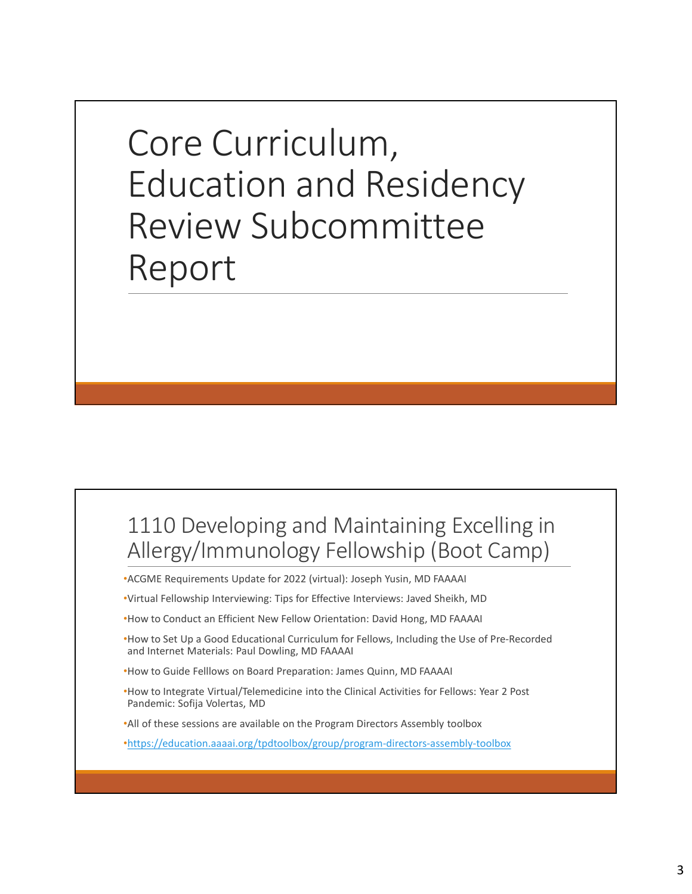Core Curriculum, Education and Residency Review Subcommittee Report

### 1110 Developing and Maintaining Excelling in Allergy/Immunology Fellowship (Boot Camp) 1110 Developing and Maintaining Excelling in<br>Allergy/Immunology Fellowship (Boot Camp)<br>"ACGME Requirements update for 2022 (virtual): Joseph Yusin, MD FAAAAI<br>"Yirtual Fellowship Interviewing: Tips for Effective Interviews: **1110** Developing and Maintaining Excelling in<br>Allergy/Immunology Fellowship (Boot Camp)<br>•ACGME Requirements update for 2022 (virtual): Joseph Yusin, MD FAAAAI<br>•How to Conduct an Efficient New Fellow Orientation: David Hon 1110 Developing and Maintaining Excelling in<br>Allergy/Immunology Fellowship (Boot Camp)<br>
•ACGME Requirements Update for 2022 (virtual): Joseph Yusin, MD FAAAAI<br>
•Virtual Fellowship Interviewing: Tips for Effective Interview

•ACGME Requirements Update for 2022 (virtual): Joseph Yusin, MD FAAAAI

- and Internet Materials: Paul Dowling, MD FAAAAI
- 
- 

•https://education.aaaai.org/tpdtoolbox/group/program-directors-assembly-toolbox